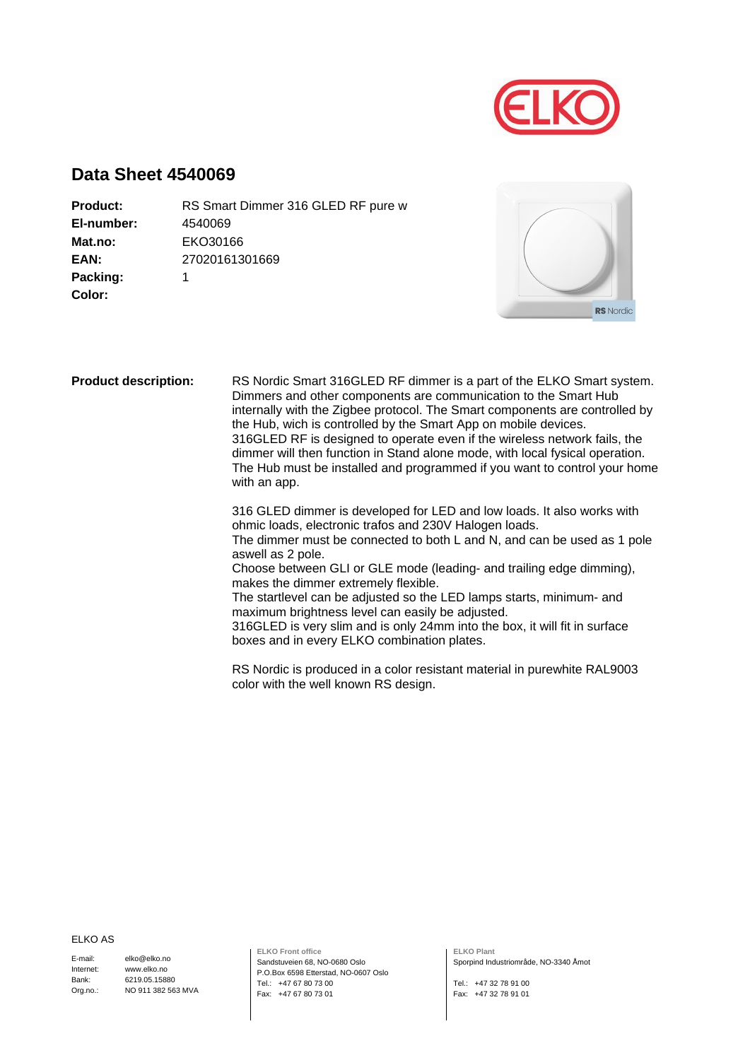

## **Data Sheet 4540069**

| <b>Product:</b> | RS Smart Dimmer 316 GLED RF pure w |
|-----------------|------------------------------------|
| El-number:      | 4540069                            |
| Mat.no:         | EKO30166                           |
| EAN:            | 27020161301669                     |
| Packing:        |                                    |
| Color:          |                                    |
|                 |                                    |



**Product description:** RS Nordic Smart 316GLED RF dimmer is a part of the ELKO Smart system. Dimmers and other components are communication to the Smart Hub internally with the Zigbee protocol. The Smart components are controlled by the Hub, wich is controlled by the Smart App on mobile devices. 316GLED RF is designed to operate even if the wireless network fails, the dimmer will then function in Stand alone mode, with local fysical operation. The Hub must be installed and programmed if you want to control your home with an app.

316 GLED dimmer is developed for LED and low loads. It also works with ohmic loads, electronic trafos and 230V Halogen loads. The dimmer must be connected to both L and N, and can be used as 1 pole aswell as 2 pole. Choose between GLI or GLE mode (leading- and trailing edge dimming), makes the dimmer extremely flexible. The startlevel can be adjusted so the LED lamps starts, minimum- and maximum brightness level can easily be adjusted. 316GLED is very slim and is only 24mm into the box, it will fit in surface boxes and in every ELKO combination plates.

> RS Nordic is produced in a color resistant material in purewhite RAL9003 color with the well known RS design.

ELKO AS

E-mail: Internet: Bank: Org.no.: elko@elko.no www.elko.no 6219.05.15880 NO 911 382 563 MVA **ELKO Front office** Sandstuveien 68, NO-0680 Oslo P.O.Box 6598 Etterstad, NO-0607 Oslo Tel.: +47 67 80 73 00 Fax: +47 67 80 73 01

**ELKO Plant** Sporpind Industriområde, NO-3340 Åmot

Tel.: +47 32 78 91 00 Fax: +47 32 78 91 01